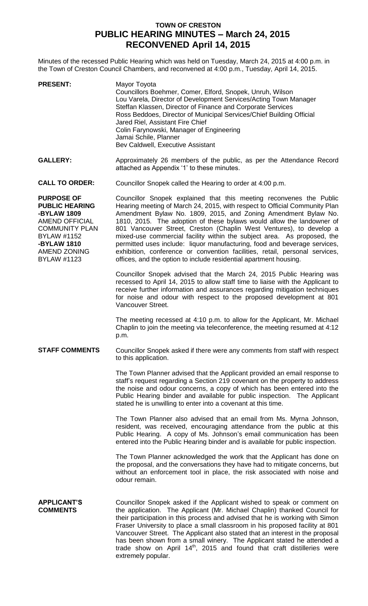## **TOWN OF CRESTON PUBLIC HEARING MINUTES – March 24, 2015 RECONVENED April 14, 2015**

Minutes of the recessed Public Hearing which was held on Tuesday, March 24, 2015 at 4:00 p.m. in the Town of Creston Council Chambers, and reconvened at 4:00 p.m., Tuesday, April 14, 2015.

| <b>PRESENT:</b> | Mayor Toyota<br>Councillors Boehmer, Comer, Elford, Snopek, Unruh, Wilson<br>Lou Varela, Director of Development Services/Acting Town Manager<br>Steffan Klassen, Director of Finance and Corporate Services<br>Ross Beddoes, Director of Municipal Services/Chief Building Official<br>Jared Riel, Assistant Fire Chief<br>Colin Farynowski, Manager of Engineering<br>Jamai Schile, Planner<br>Bev Caldwell, Executive Assistant |
|-----------------|------------------------------------------------------------------------------------------------------------------------------------------------------------------------------------------------------------------------------------------------------------------------------------------------------------------------------------------------------------------------------------------------------------------------------------|
|                 |                                                                                                                                                                                                                                                                                                                                                                                                                                    |

GALLERY: Approximately 26 members of the public, as per the Attendance Record attached as Appendix '1' to these minutes.

**CALL TO ORDER:** Councillor Snopek called the Hearing to order at 4:00 p.m.

**PURPOSE OF PUBLIC HEARING -BYLAW 1809** AMEND OFFICIAL COMMUNITY PLAN BYLAW #1152 **-BYLAW 1810** AMEND ZONING BYLAW #1123

Councillor Snopek explained that this meeting reconvenes the Public Hearing meeting of March 24, 2015, with respect to Official Community Plan Amendment Bylaw No. 1809, 2015, and Zoning Amendment Bylaw No. 1810, 2015. The adoption of these bylaws would allow the landowner of 801 Vancouver Street, Creston (Chaplin West Ventures), to develop a mixed-use commercial facility within the subject area. As proposed, the permitted uses include: liquor manufacturing, food and beverage services, exhibition, conference or convention facilities, retail, personal services, offices, and the option to include residential apartment housing.

Councillor Snopek advised that the March 24, 2015 Public Hearing was recessed to April 14, 2015 to allow staff time to liaise with the Applicant to receive further information and assurances regarding mitigation techniques for noise and odour with respect to the proposed development at 801 Vancouver Street.

The meeting recessed at 4:10 p.m. to allow for the Applicant, Mr. Michael Chaplin to join the meeting via teleconference, the meeting resumed at 4:12 p.m.

## **STAFF COMMENTS** Councillor Snopek asked if there were any comments from staff with respect to this application.

The Town Planner advised that the Applicant provided an email response to staff's request regarding a Section 219 covenant on the property to address the noise and odour concerns, a copy of which has been entered into the Public Hearing binder and available for public inspection. The Applicant stated he is unwilling to enter into a covenant at this time.

The Town Planner also advised that an email from Ms. Myrna Johnson, resident, was received, encouraging attendance from the public at this Public Hearing. A copy of Ms. Johnson's email communication has been entered into the Public Hearing binder and is available for public inspection.

The Town Planner acknowledged the work that the Applicant has done on the proposal, and the conversations they have had to mitigate concerns, but without an enforcement tool in place, the risk associated with noise and odour remain.

**APPLICANT'S COMMENTS** Councillor Snopek asked if the Applicant wished to speak or comment on the application. The Applicant (Mr. Michael Chaplin) thanked Council for their participation in this process and advised that he is working with Simon Fraser University to place a small classroom in his proposed facility at 801 Vancouver Street. The Applicant also stated that an interest in the proposal has been shown from a small winery. The Applicant stated he attended a trade show on April  $14<sup>th</sup>$ , 2015 and found that craft distilleries were extremely popular.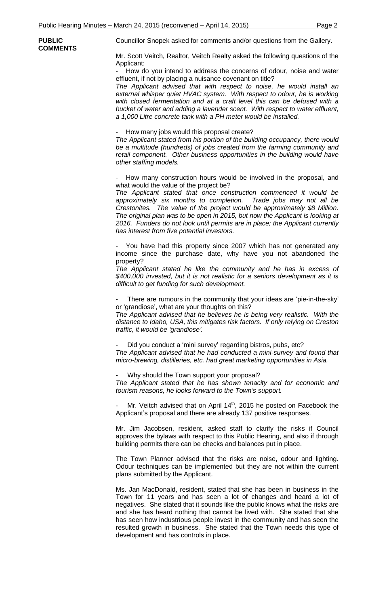**PUBLIC COMMENTS** Councillor Snopek asked for comments and/or questions from the Gallery.

Mr. Scott Veitch, Realtor, Veitch Realty asked the following questions of the Applicant:

How do you intend to address the concerns of odour, noise and water effluent, if not by placing a nuisance covenant on title?

*The Applicant advised that with respect to noise, he would install an*  external whisper quiet HVAC system. With respect to odour, he is working with closed fermentation and at a craft level this can be defused with a *bucket of water and adding a lavender scent. With respect to water effluent, a 1,000 Litre concrete tank with a PH meter would be installed.*

How many jobs would this proposal create?

*The Applicant stated from his portion of the building occupancy, there would be a multitude (hundreds) of jobs created from the farming community and retail component. Other business opportunities in the building would have other staffing models.*

How many construction hours would be involved in the proposal, and what would the value of the project be?

*The Applicant stated that once construction commenced it would be approximately six months to completion. Trade jobs may not all be Crestonites. The value of the project would be approximately \$8 Million. The original plan was to be open in 2015, but now the Applicant is looking at 2016. Funders do not look until permits are in place; the Applicant currently has interest from five potential investors.*

You have had this property since 2007 which has not generated any income since the purchase date, why have you not abandoned the property?

*The Applicant stated he like the community and he has in excess of \$400,000 invested, but it is not realistic for a seniors development as it is difficult to get funding for such development.*

There are rumours in the community that your ideas are 'pie-in-the-sky' or 'grandiose', what are your thoughts on this?

*The Applicant advised that he believes he is being very realistic. With the distance to Idaho, USA, this mitigates risk factors. If only relying on Creston traffic, it would be 'grandiose'.*

Did you conduct a 'mini survey' regarding bistros, pubs, etc? *The Applicant advised that he had conducted a mini-survey and found that micro-brewing, distilleries, etc. had great marketing opportunities in Asia.*

Why should the Town support your proposal?

*The Applicant stated that he has shown tenacity and for economic and tourism reasons, he looks forward to the Town's support.*

Mr. Veitch advised that on April  $14<sup>th</sup>$ , 2015 he posted on Facebook the Applicant's proposal and there are already 137 positive responses.

Mr. Jim Jacobsen, resident, asked staff to clarify the risks if Council approves the bylaws with respect to this Public Hearing, and also if through building permits there can be checks and balances put in place.

The Town Planner advised that the risks are noise, odour and lighting. Odour techniques can be implemented but they are not within the current plans submitted by the Applicant.

Ms. Jan MacDonald, resident, stated that she has been in business in the Town for 11 years and has seen a lot of changes and heard a lot of negatives. She stated that it sounds like the public knows what the risks are and she has heard nothing that cannot be lived with. She stated that she has seen how industrious people invest in the community and has seen the resulted growth in business. She stated that the Town needs this type of development and has controls in place.